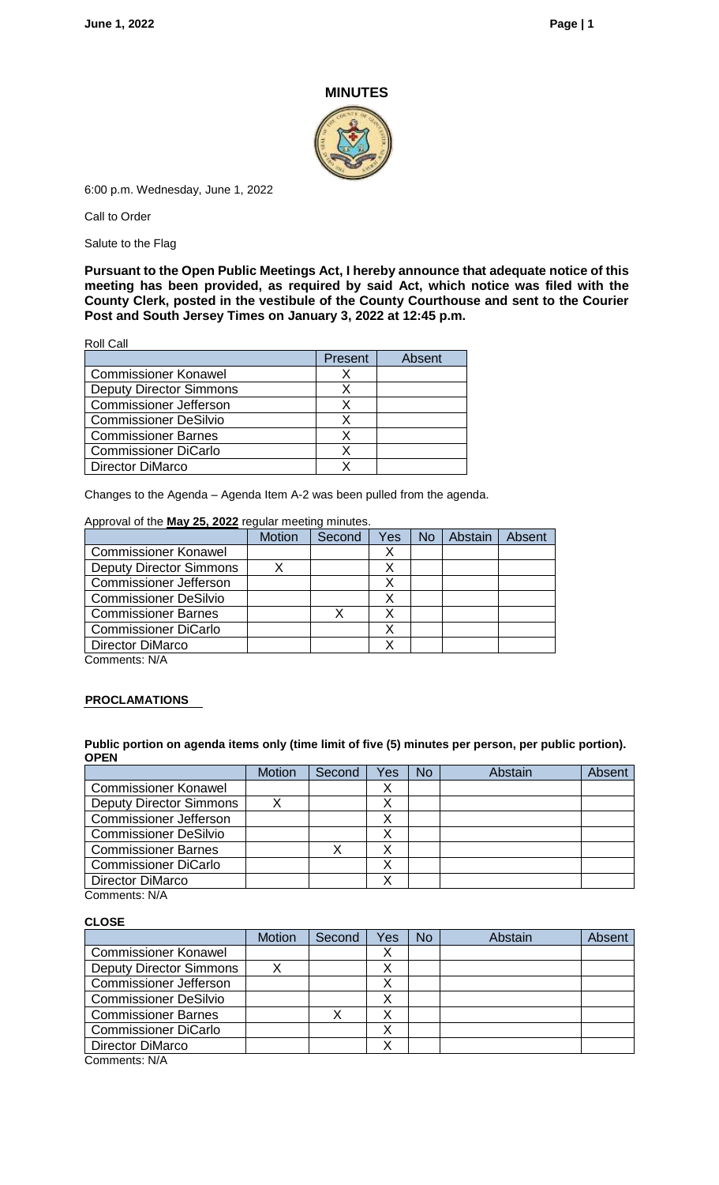## **MINUTES**



6:00 p.m. Wednesday, June 1, 2022

Call to Order

Salute to the Flag

**Pursuant to the Open Public Meetings Act, I hereby announce that adequate notice of this meeting has been provided, as required by said Act, which notice was filed with the County Clerk, posted in the vestibule of the County Courthouse and sent to the Courier Post and South Jersey Times on January 3, 2022 at 12:45 p.m.**

Roll Call

|                                | Present | Absent |
|--------------------------------|---------|--------|
| <b>Commissioner Konawel</b>    |         |        |
| <b>Deputy Director Simmons</b> |         |        |
| <b>Commissioner Jefferson</b>  |         |        |
| <b>Commissioner DeSilvio</b>   |         |        |
| <b>Commissioner Barnes</b>     |         |        |
| <b>Commissioner DiCarlo</b>    |         |        |
| Director DiMarco               |         |        |

Changes to the Agenda – Agenda Item A-2 was been pulled from the agenda.

## Approval of the **May 25, 2022** regular meeting minutes.

|                                | <b>Motion</b> | Second | Yes | <b>No</b> | Abstain | Absent |
|--------------------------------|---------------|--------|-----|-----------|---------|--------|
| <b>Commissioner Konawel</b>    |               |        |     |           |         |        |
| <b>Deputy Director Simmons</b> |               |        |     |           |         |        |
| <b>Commissioner Jefferson</b>  |               |        |     |           |         |        |
| <b>Commissioner DeSilvio</b>   |               |        |     |           |         |        |
| <b>Commissioner Barnes</b>     |               |        |     |           |         |        |
| <b>Commissioner DiCarlo</b>    |               |        |     |           |         |        |
| Director DiMarco               |               |        |     |           |         |        |
| $C2$ mentai $N1/\Lambda$       |               |        |     |           |         |        |

Comments: N/A

## **PROCLAMATIONS**

**Public portion on agenda items only (time limit of five (5) minutes per person, per public portion). OPEN** 

|                                | <b>Motion</b> | Second | Yes | No | Abstain | Absent |
|--------------------------------|---------------|--------|-----|----|---------|--------|
| <b>Commissioner Konawel</b>    |               |        |     |    |         |        |
| <b>Deputy Director Simmons</b> |               |        |     |    |         |        |
| <b>Commissioner Jefferson</b>  |               |        |     |    |         |        |
| <b>Commissioner DeSilvio</b>   |               |        |     |    |         |        |
| <b>Commissioner Barnes</b>     |               |        |     |    |         |        |
| <b>Commissioner DiCarlo</b>    |               |        |     |    |         |        |
| <b>Director DiMarco</b>        |               |        |     |    |         |        |

Comments: N/A

## **CLOSE**

|                                                                                                     | <b>Motion</b> | Second | Yes | <b>No</b> | Abstain | Absent |
|-----------------------------------------------------------------------------------------------------|---------------|--------|-----|-----------|---------|--------|
| <b>Commissioner Konawel</b>                                                                         |               |        |     |           |         |        |
| <b>Deputy Director Simmons</b>                                                                      |               |        |     |           |         |        |
| <b>Commissioner Jefferson</b>                                                                       |               |        |     |           |         |        |
| <b>Commissioner DeSilvio</b>                                                                        |               |        |     |           |         |        |
| <b>Commissioner Barnes</b>                                                                          |               |        |     |           |         |        |
| <b>Commissioner DiCarlo</b>                                                                         |               |        |     |           |         |        |
| Director DiMarco                                                                                    |               |        |     |           |         |        |
| $O6$ $O6$ $O6$ $O6$ $O6$ $O6$ $O6$ $O6$ $O6$ $O6$ $O6$ $O6$ $O6$ $O6$ $O6$ $O6$ $O6$ $O6$ $O6$ $O6$ |               |        |     |           |         |        |

Comments: N/A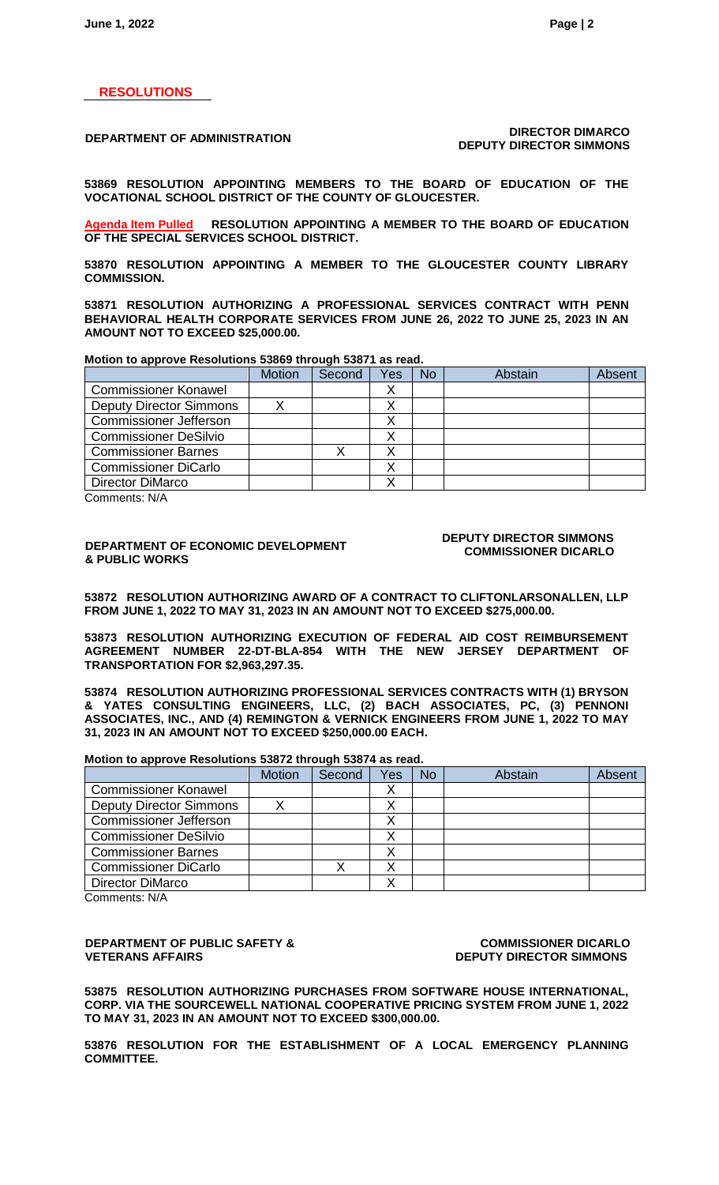## **RESOLUTIONS**

## **DEPARTMENT OF ADMINISTRATION DIRECTOR DIMARCO DEPUTY DIRECTOR SIMMONS**

**53869 RESOLUTION APPOINTING MEMBERS TO THE BOARD OF EDUCATION OF THE VOCATIONAL SCHOOL DISTRICT OF THE COUNTY OF GLOUCESTER.**

**Agenda Item Pulled RESOLUTION APPOINTING A MEMBER TO THE BOARD OF EDUCATION OF THE SPECIAL SERVICES SCHOOL DISTRICT.**

**53870 RESOLUTION APPOINTING A MEMBER TO THE GLOUCESTER COUNTY LIBRARY COMMISSION.**

**53871 RESOLUTION AUTHORIZING A PROFESSIONAL SERVICES CONTRACT WITH PENN BEHAVIORAL HEALTH CORPORATE SERVICES FROM JUNE 26, 2022 TO JUNE 25, 2023 IN AN AMOUNT NOT TO EXCEED \$25,000.00.**

**Motion to approve Resolutions 53869 through 53871 as read.**

|                                | <b>Motion</b> | Second | Yes | <b>No</b> | Abstain | <b>Absent</b> |
|--------------------------------|---------------|--------|-----|-----------|---------|---------------|
| <b>Commissioner Konawel</b>    |               |        |     |           |         |               |
| <b>Deputy Director Simmons</b> |               |        |     |           |         |               |
| <b>Commissioner Jefferson</b>  |               |        |     |           |         |               |
| <b>Commissioner DeSilvio</b>   |               |        |     |           |         |               |
| <b>Commissioner Barnes</b>     |               |        |     |           |         |               |
| <b>Commissioner DiCarlo</b>    |               |        |     |           |         |               |
| <b>Director DiMarco</b>        |               |        |     |           |         |               |

Comments: N/A

## **DEPARTMENT OF ECONOMIC DEVELOPMENT & PUBLIC WORKS**

## **DEPUTY DIRECTOR SIMMONS COMMISSIONER DICARLO**

**53872 RESOLUTION AUTHORIZING AWARD OF A CONTRACT TO CLIFTONLARSONALLEN, LLP FROM JUNE 1, 2022 TO MAY 31, 2023 IN AN AMOUNT NOT TO EXCEED \$275,000.00.**

**53873 RESOLUTION AUTHORIZING EXECUTION OF FEDERAL AID COST REIMBURSEMENT AGREEMENT NUMBER 22-DT-BLA-854 WITH THE NEW JERSEY DEPARTMENT OF TRANSPORTATION FOR \$2,963,297.35.**

**53874 RESOLUTION AUTHORIZING PROFESSIONAL SERVICES CONTRACTS WITH (1) BRYSON & YATES CONSULTING ENGINEERS, LLC, (2) BACH ASSOCIATES, PC, (3) PENNONI ASSOCIATES, INC., AND (4) REMINGTON & VERNICK ENGINEERS FROM JUNE 1, 2022 TO MAY 31, 2023 IN AN AMOUNT NOT TO EXCEED \$250,000.00 EACH.**

**Motion to approve Resolutions 53872 through 53874 as read.**

|                                | <b>Motion</b> | Second | Yes | <b>No</b> | Abstain | Absent |
|--------------------------------|---------------|--------|-----|-----------|---------|--------|
| <b>Commissioner Konawel</b>    |               |        | ↗   |           |         |        |
| <b>Deputy Director Simmons</b> |               |        |     |           |         |        |
| Commissioner Jefferson         |               |        |     |           |         |        |
| <b>Commissioner DeSilvio</b>   |               |        |     |           |         |        |
| <b>Commissioner Barnes</b>     |               |        |     |           |         |        |
| <b>Commissioner DiCarlo</b>    |               |        |     |           |         |        |
| Director DiMarco               |               |        |     |           |         |        |

Comments: N/A

## **DEPARTMENT OF PUBLIC SAFETY & VETERANS AFFAIRS**

**COMMISSIONER DICARLO DEPUTY DIRECTOR SIMMONS**

**53875 RESOLUTION AUTHORIZING PURCHASES FROM SOFTWARE HOUSE INTERNATIONAL, CORP. VIA THE SOURCEWELL NATIONAL COOPERATIVE PRICING SYSTEM FROM JUNE 1, 2022 TO MAY 31, 2023 IN AN AMOUNT NOT TO EXCEED \$300,000.00.**

**53876 RESOLUTION FOR THE ESTABLISHMENT OF A LOCAL EMERGENCY PLANNING COMMITTEE.**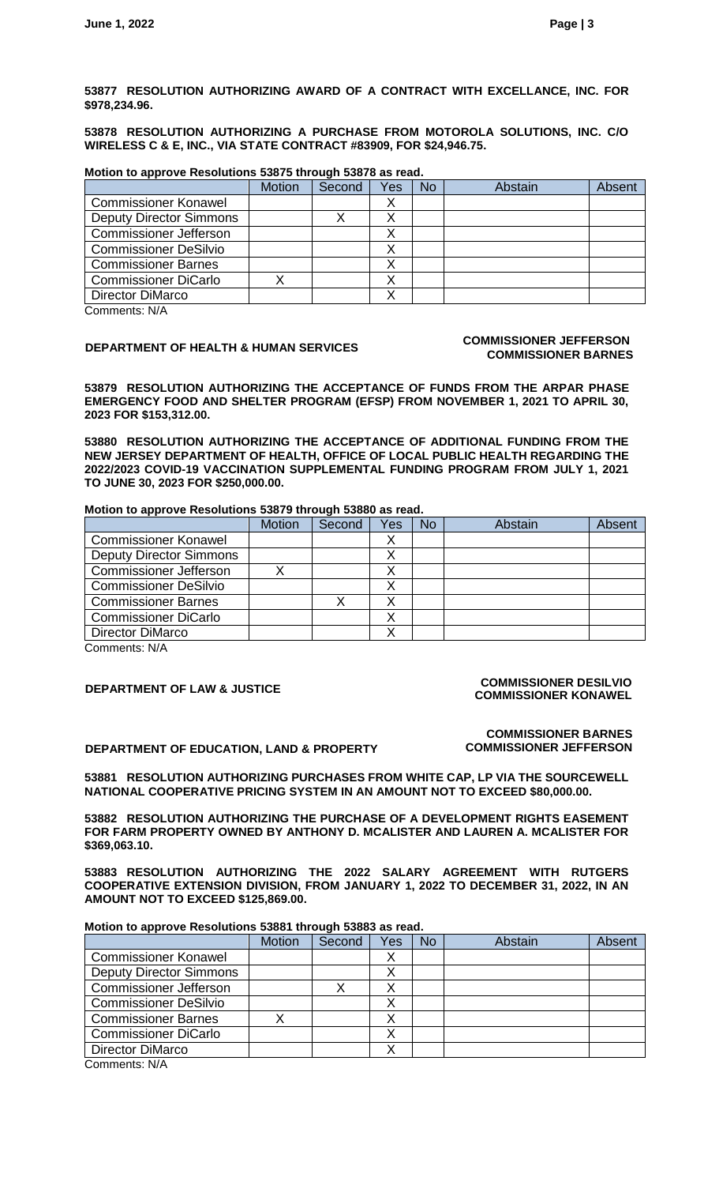**53877 RESOLUTION AUTHORIZING AWARD OF A CONTRACT WITH EXCELLANCE, INC. FOR \$978,234.96.**

**53878 RESOLUTION AUTHORIZING A PURCHASE FROM MOTOROLA SOLUTIONS, INC. C/O WIRELESS C & E, INC., VIA STATE CONTRACT #83909, FOR \$24,946.75.**

## **Motion to approve Resolutions 53875 through 53878 as read.**

|                                | <b>Motion</b> | Second | Yes | <b>No</b> | Abstain | Absent |
|--------------------------------|---------------|--------|-----|-----------|---------|--------|
| <b>Commissioner Konawel</b>    |               |        |     |           |         |        |
| <b>Deputy Director Simmons</b> |               |        |     |           |         |        |
| <b>Commissioner Jefferson</b>  |               |        |     |           |         |        |
| <b>Commissioner DeSilvio</b>   |               |        |     |           |         |        |
| <b>Commissioner Barnes</b>     |               |        |     |           |         |        |
| <b>Commissioner DiCarlo</b>    |               |        |     |           |         |        |
| Director DiMarco               |               |        |     |           |         |        |

Comments: N/A

## **DEPARTMENT OF HEALTH & HUMAN SERVICES COMMISSIONER JEFFERSON**

# **COMMISSIONER BARNES**

**53879 RESOLUTION AUTHORIZING THE ACCEPTANCE OF FUNDS FROM THE ARPAR PHASE EMERGENCY FOOD AND SHELTER PROGRAM (EFSP) FROM NOVEMBER 1, 2021 TO APRIL 30, 2023 FOR \$153,312.00.**

**53880 RESOLUTION AUTHORIZING THE ACCEPTANCE OF ADDITIONAL FUNDING FROM THE NEW JERSEY DEPARTMENT OF HEALTH, OFFICE OF LOCAL PUBLIC HEALTH REGARDING THE 2022/2023 COVID-19 VACCINATION SUPPLEMENTAL FUNDING PROGRAM FROM JULY 1, 2021 TO JUNE 30, 2023 FOR \$250,000.00.**

## **Motion to approve Resolutions 53879 through 53880 as read.**

|                                | <b>Motion</b> | Second | Yes | <b>No</b> | Abstain | Absent |
|--------------------------------|---------------|--------|-----|-----------|---------|--------|
| <b>Commissioner Konawel</b>    |               |        |     |           |         |        |
| <b>Deputy Director Simmons</b> |               |        |     |           |         |        |
| <b>Commissioner Jefferson</b>  |               |        |     |           |         |        |
| <b>Commissioner DeSilvio</b>   |               |        |     |           |         |        |
| <b>Commissioner Barnes</b>     |               |        |     |           |         |        |
| <b>Commissioner DiCarlo</b>    |               |        |     |           |         |        |
| Director DiMarco               |               |        |     |           |         |        |
| Commonnet: N/A                 |               |        |     |           |         |        |

Comments: N/A

## **DEPARTMENT OF LAW & JUSTICE COMMISSIONER DESILVIO COMMISSIONER KONAWEL**

**DEPARTMENT OF EDUCATION, LAND & PROPERTY**

**COMMISSIONER BARNES COMMISSIONER JEFFERSON**

**53881 RESOLUTION AUTHORIZING PURCHASES FROM WHITE CAP, LP VIA THE SOURCEWELL NATIONAL COOPERATIVE PRICING SYSTEM IN AN AMOUNT NOT TO EXCEED \$80,000.00.**

**53882 RESOLUTION AUTHORIZING THE PURCHASE OF A DEVELOPMENT RIGHTS EASEMENT FOR FARM PROPERTY OWNED BY ANTHONY D. MCALISTER AND LAUREN A. MCALISTER FOR \$369,063.10.**

**53883 RESOLUTION AUTHORIZING THE 2022 SALARY AGREEMENT WITH RUTGERS COOPERATIVE EXTENSION DIVISION, FROM JANUARY 1, 2022 TO DECEMBER 31, 2022, IN AN AMOUNT NOT TO EXCEED \$125,869.00.**

## **Motion to approve Resolutions 53881 through 53883 as read.**

|                                                | <b>Motion</b> | Second | Yes | No | Abstain | Absent |
|------------------------------------------------|---------------|--------|-----|----|---------|--------|
| <b>Commissioner Konawel</b>                    |               |        |     |    |         |        |
| <b>Deputy Director Simmons</b>                 |               |        |     |    |         |        |
| <b>Commissioner Jefferson</b>                  |               |        |     |    |         |        |
| <b>Commissioner DeSilvio</b>                   |               |        |     |    |         |        |
| <b>Commissioner Barnes</b>                     |               |        |     |    |         |        |
| <b>Commissioner DiCarlo</b>                    |               |        |     |    |         |        |
| Director DiMarco                               |               |        |     |    |         |        |
| $O_{\text{max}}$ and $\text{max}$ $\text{min}$ |               |        |     |    |         |        |

Comments: N/A